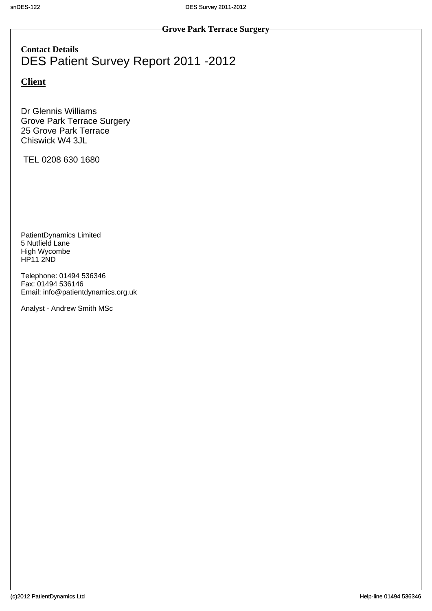**Contact Details** DES Patient Survey Report 2011 -2012

## **Client**

Dr Glennis Williams Grove Park Terrace Surgery 25 Grove Park Terrace Chiswick W4 3JL

TEL 0208 630 1680

PatientDynamics Limited 5 Nutfield Lane High Wycombe HP11 2ND

Telephone: 01494 536346 Fax: 01494 536146 Email: info@patientdynamics.org.uk

Analyst - Andrew Smith MSc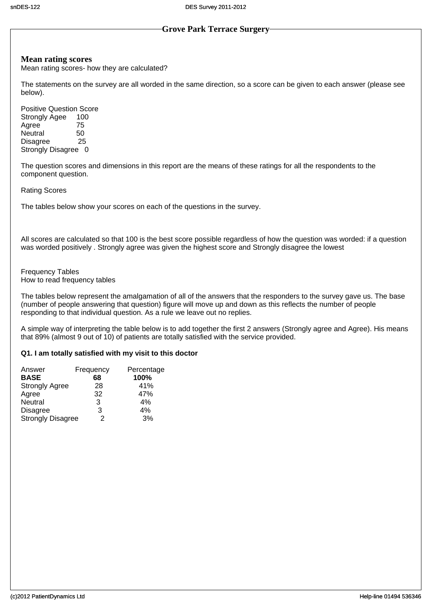#### **Mean rating scores**

Mean rating scores- how they are calculated?

The statements on the survey are all worded in the same direction, so a score can be given to each answer (please see below).

Positive Question Score Strongly Agee 100<br>Agree 75 Agree 75<br>Neutral 50 Neutral 50<br>Disagree 25 Disagree Strongly Disagree 0

The question scores and dimensions in this report are the means of these ratings for all the respondents to the component question.

#### Rating Scores

The tables below show your scores on each of the questions in the survey.

All scores are calculated so that 100 is the best score possible regardless of how the question was worded: if a question was worded positively . Strongly agree was given the highest score and Strongly disagree the lowest

Frequency Tables How to read frequency tables

The tables below represent the amalgamation of all of the answers that the responders to the survey gave us. The base (number of people answering that question) figure will move up and down as this reflects the number of people responding to that individual question. As a rule we leave out no replies.

A simple way of interpreting the table below is to add together the first 2 answers (Strongly agree and Agree). His means that 89% (almost 9 out of 10) of patients are totally satisfied with the service provided.

#### **Q1. I am totally satisfied with my visit to this doctor**

| Answer                   | Frequency | Percentage |
|--------------------------|-----------|------------|
| <b>BASE</b>              | 68        | 100%       |
| <b>Strongly Agree</b>    | 28        | 41%        |
| Agree                    | 32        | 47%        |
| Neutral                  | 3         | 4%         |
| <b>Disagree</b>          | 3         | 4%         |
| <b>Strongly Disagree</b> | 2         | 3%         |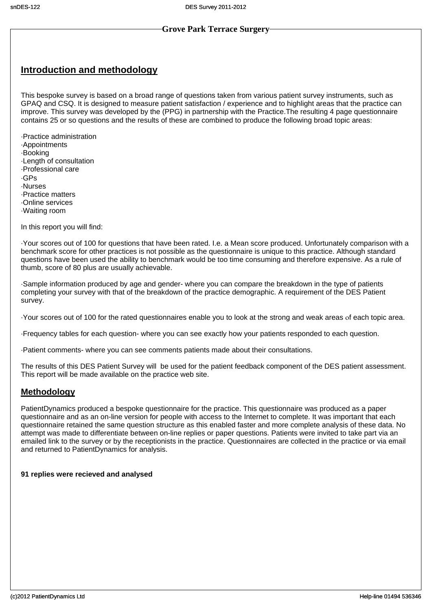# **Introduction and methodology**

This bespoke survey is based on a broad range of questions taken from various patient survey instruments, such as GPAQ and CSQ. It is designed to measure patient satisfaction / experience and to highlight areas that the practice can improve. This survey was developed by the (PPG) in partnership with the Practice.The resulting 4 page questionnaire contains 25 or so questions and the results of these are combined to produce the following broad topic areas

·Practice administration

- ·Appointments
- ·Booking
- ·Length of consultation
- ·Professional care
- ·GPs
- ·Nurses
- ·Practice matters
- ·Online services
- ·Waiting room

In this report you will find:

·Your scores out of 100 for questions that have been rated. I.e. a Mean score produced. Unfortunately comparison with a benchmark score for other practices is not possible as the questionnaire is unique to this practice. Although standard questions have been used the ability to benchmark would be too time consuming and therefore expensive. As a rule of thumb, score of 80 plus are usually achievable.

·Sample information produced by age and gender- where you can compare the breakdown in the type of patients completing your survey with that of the breakdown of the practice demographic. A requirement of the DES Patient survey.

·Your scores out of 100 for the rated questionnaires enable you to look at the strong and weak areas of each topic area.

·Frequency tables for each question- where you can see exactly how your patients responded to each question.

·Patient comments- where you can see comments patients made about their consultations.

The results of this DES Patient Survey will be used for the patient feedback component of the DES patient assessment. This report will be made available on the practice web site.

#### **Methodology**

PatientDynamics produced a bespoke questionnaire for the practice. This questionnaire was produced as a paper questionnaire and as an on-line version for people with access to the Internet to complete. It was important that each questionnaire retained the same question structure as this enabled faster and more complete analysis of these data. No attempt was made to differentiate between on-line replies or paper questions. Patients were invited to take part via an emailed link to the survey or by the receptionists in the practice. Questionnaires are collected in the practice or via email and returned to PatientDynamics for analysis.

#### **91 replies were recieved and analysed**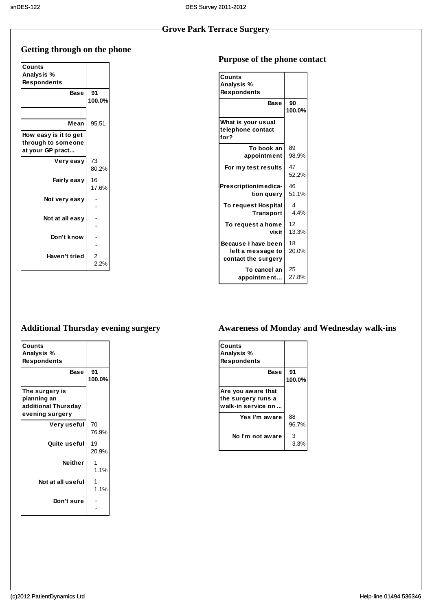# **Getting through on the phone**

| Counts                |                |
|-----------------------|----------------|
| Analysis %            |                |
| Respondents           |                |
|                       |                |
| <b>Base</b>           | 91             |
|                       | 100.0%         |
|                       |                |
| Mean                  | 95.51          |
| How easy is it to get |                |
| through to someone    |                |
| at your GP pract      |                |
| Very easy             | 73             |
|                       | 80.2%          |
| Fairly easy           | 16             |
|                       | 17.6%          |
|                       |                |
| Not very easy         |                |
|                       |                |
| Not at all easy       |                |
|                       |                |
| Don't know            |                |
|                       |                |
| Haven't tried         | $\overline{2}$ |
|                       | 2.2%           |
|                       |                |

## **Purpose of the phone contact**

| <b>Counts</b><br>Analysis %<br>Respondents                      |                       |
|-----------------------------------------------------------------|-----------------------|
| <b>Base</b>                                                     | 90<br>100.0%          |
| What is your usual<br>telephone contact<br>for?                 |                       |
| To book an                                                      | 89                    |
| appointment                                                     | 98.9%                 |
| For my test results                                             | 47<br>52.2%           |
| Prescription/medica-                                            | 46                    |
| tion query                                                      | 51.1%                 |
| <b>To request Hospital</b>                                      | $\boldsymbol{\Delta}$ |
| <b>Transport</b>                                                | 4.4%                  |
| To request a home                                               | 12                    |
| visit                                                           | 13.3%                 |
| Because I have been<br>left a message to<br>contact the surgery | 18<br>20.0%           |
| To cancel an                                                    | 25                    |
| appointment                                                     | 27.8%                 |

# **Additional Thursday evening surgery**

| Counts<br>Analysis %<br><b>Respondents</b><br>Base                      | 91<br>100.0% |
|-------------------------------------------------------------------------|--------------|
| The surgery is<br>planning an<br>additional Thursday<br>evening surgery |              |
| Very useful                                                             | 70<br>76.9%  |
| Quite useful                                                            | 19<br>20.9%  |
| <b>Neither</b>                                                          | 1.1%         |
| Not at all useful                                                       | 1.1%         |
| Don't sure                                                              |              |

# **Awareness of Monday and Wednesday walk-ins**

| Counts<br>Analysis %<br><b>Respondents</b>                     |              |
|----------------------------------------------------------------|--------------|
| <b>Base</b>                                                    | 91<br>100.0% |
| Are you aware that<br>the surgery runs a<br>walk-in service on |              |
| Yes I'm aware                                                  | 88<br>96.7%  |
| No I'm not aware                                               | 3<br>3.3%    |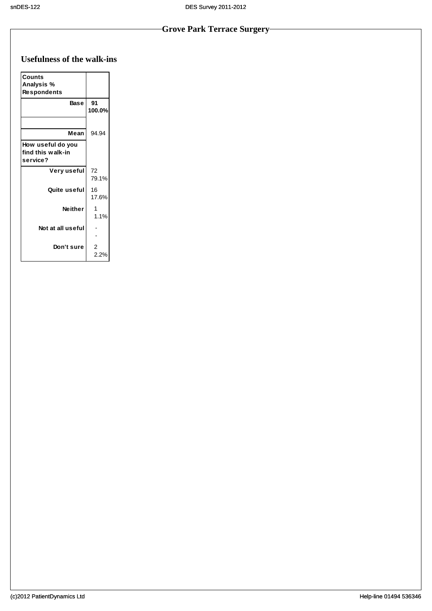# **Usefulness of the walk-ins**

| <b>Counts</b><br>Analysis %<br><b>Respondents</b>  |              |
|----------------------------------------------------|--------------|
| <b>Base</b>                                        | 91<br>100.0% |
| Mean                                               | 94.94        |
| How useful do you<br>find this walk-in<br>service? |              |
| Very useful                                        | 72<br>79.1%  |
| Quite useful                                       | 16<br>17.6%  |
| <b>Neither</b>                                     | 1.1%         |
| Not at all useful                                  |              |
| Don't sure                                         | 2            |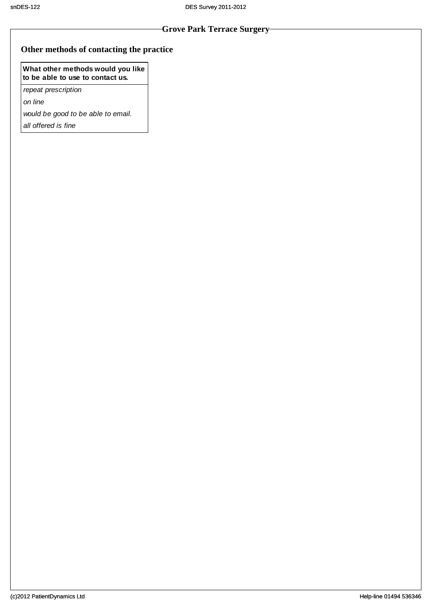#### **Other methods of contacting the practice**

#### **What other methods would you like to be able to use to contact us.**

*repeat prescription*

*on line*

*would be good to be able to email.*

*all offered is fine*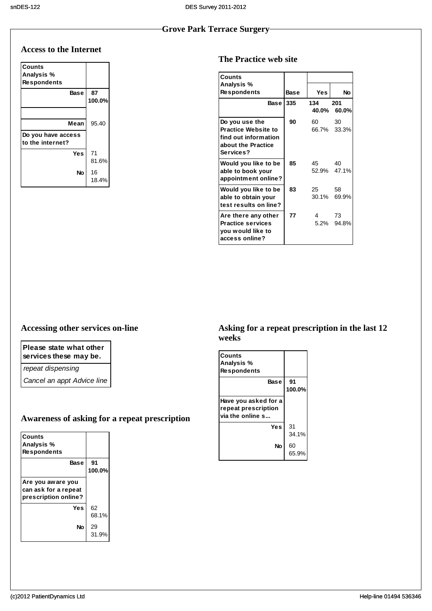#### **Access to the Internet**

| Counts             |        |
|--------------------|--------|
| Analysis %         |        |
| <b>Respondents</b> |        |
| Base               | 87     |
|                    | 100.0% |
|                    |        |
| Mean               | 95.40  |
| Do you have access |        |
| to the internet?   |        |
| Yes                | 71     |
|                    | 81.6%  |
| No                 | 16     |
|                    | 18.4%  |

#### **The Practice web site**

| <b>Counts</b>                                                                                           |      |              |                   |
|---------------------------------------------------------------------------------------------------------|------|--------------|-------------------|
| Analysis %<br><b>Respondents</b>                                                                        | Base | Yes          | No                |
| <b>Base</b>                                                                                             | 335  | 134<br>40.0% | 201<br>60.0%      |
| Do you use the<br><b>Practice Website to</b><br>find out information<br>about the Practice<br>Services? | 90   | 60 -         | 30<br>66.7% 33.3% |
| Would you like to be<br>able to book your<br>appointment online?                                        | 85   | 45           | 40<br>52.9% 47.1% |
| Would you like to be<br>able to obtain your<br>test results on line?                                    | 83   | 25           | 58<br>30.1% 69.9% |
| Are there any other<br><b>Practice services</b><br>you would like to<br>access online?                  | 77   | 4            | 73<br>5.2% 94.8%  |

#### **Accessing other services on-line**

# **Please state what other**

**services these may be.**

*repeat dispensing*

*Cancel an appt Advice line*

## **Awareness of asking for a repeat prescription**

| Counts<br>Analysis %<br><b>Respondents</b>                        |              |
|-------------------------------------------------------------------|--------------|
| Base                                                              | 91<br>100.0% |
| Are you aware you<br>can ask for a repeat<br>prescription online? |              |
| Yes                                                               | 62<br>68.1%  |
| No                                                                | 29<br>31.9%  |

#### **Asking for a repeat prescription in the last 12 weeks**

| Counts<br>Analysis %<br><b>Respondents</b>                      |              |
|-----------------------------------------------------------------|--------------|
| Base                                                            | 91<br>100.0% |
| Have you asked for a<br>repeat prescription<br>via the online s |              |
| Yes                                                             | 31<br>34.1%  |
| No                                                              | 60<br>65.9%  |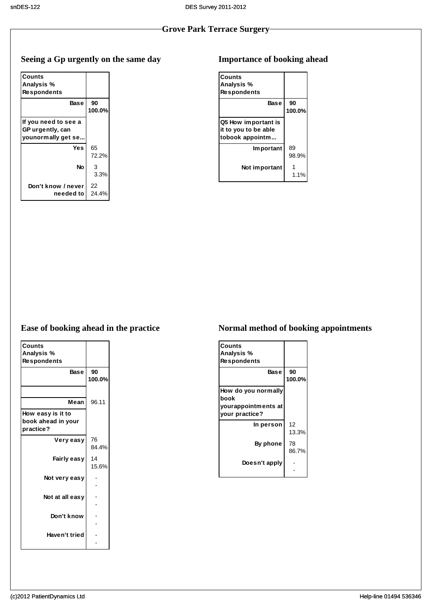# **Seeing a Gp urgently on the same day**

| Counts               |        |
|----------------------|--------|
| Analysis %           |        |
| <b>Respondents</b>   |        |
| Base                 | 90     |
|                      | 100.0% |
| If you need to see a |        |
| GP urgently, can     |        |
| vounormally get se   |        |
| Yes                  | 65     |
|                      | 72.2%  |
| <b>No</b>            | 3      |
|                      | 3.3%   |
| Don't know / never   | 22     |
| needed to            | 24.4%  |

# **Importance of booking ahead**

| Counts<br>Analysis %<br><b>Respondents</b>                     |              |
|----------------------------------------------------------------|--------------|
| Base                                                           | 90<br>100.0% |
| Q5 How important is<br>it to you to be able<br>tobook appointm |              |
| <b>Important</b>                                               | 89<br>98.9%  |
| Not important                                                  | 1.1%         |

# **Ease of booking ahead in the practice**

| Counts             |        |
|--------------------|--------|
| Analysis %         |        |
| <b>Respondents</b> |        |
| <b>Base</b>        | 90     |
|                    | 100.0% |
|                    |        |
| Mean               | 96.11  |
| How easy is it to  |        |
| book ahead in your |        |
| practice?          |        |
| Very easy          | 76     |
|                    | 84.4%  |
| Fairly easy        | 14     |
|                    | 15.6%  |
|                    |        |
| Not very easy      |        |
|                    |        |
| Not at all easy    |        |
|                    |        |
| Don't know         |        |
|                    |        |
|                    |        |
| Haven't tried      |        |
|                    |        |

# **Normal method of booking appointments**

| Counts<br>Analysis %<br><b>Respondents</b> |              |
|--------------------------------------------|--------------|
| <b>Base</b>                                | 90<br>100.0% |
| How do you normally<br>book                |              |
| yourappointments at<br>your practice?      |              |
| In person                                  | 12<br>13.3%  |
| <b>By phone</b>                            | 78<br>86.7%  |
| Doesn't apply                              |              |
|                                            |              |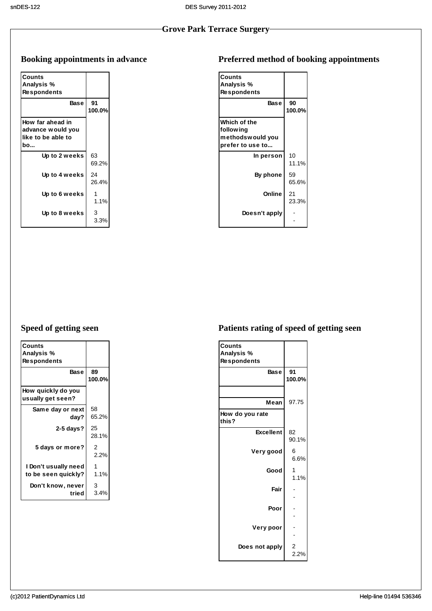# **Booking appointments in advance**

| Counts<br>Analysis %<br><b>Respondents</b>                         |              |
|--------------------------------------------------------------------|--------------|
| Base                                                               | 91<br>100.0% |
| How far ahead in<br>advance would you<br>like to be able to<br>bo… |              |
| Up to 2 weeks                                                      | 63<br>69.2%  |
| Up to 4 weeks                                                      | 24<br>26.4%  |
| Up to 6 weeks                                                      | 1.1%         |
| Up to 8 weeks                                                      | 3<br>3.3%    |

# **Preferred method of booking appointments**

| Counts<br>Analysis %<br><b>Respondents</b>                         |              |
|--------------------------------------------------------------------|--------------|
| Base                                                               | 90<br>100.0% |
| Which of the<br>follow ing<br>methodswould you<br>prefer to use to |              |
| In person                                                          | 10<br>11.1%  |
| By phone                                                           | 59<br>65.6%  |
| Online                                                             | 21<br>23.3%  |
| Doesn't apply                                                      |              |

# **Speed of getting seen**

| Counts<br>Analysis %<br><b>Respondents</b>  |              |
|---------------------------------------------|--------------|
| Base                                        | 89<br>100.0% |
| How quickly do you<br>usually get seen?     |              |
| Same day or next<br>dav?                    | 58<br>65.2%  |
| $2-5$ days?                                 | 25<br>28.1%  |
| 5 days or more?                             | 2<br>2.2%    |
| I Don't usually need<br>to be seen quickly? | 1.1%         |
| Don't know, never<br>tried                  | 3<br>3.4%    |

# **Patients rating of speed of getting seen**

| <b>Counts</b>            |           |
|--------------------------|-----------|
| Analysis %               |           |
| <b>Respondents</b>       |           |
| <b>Base</b>              | 91        |
|                          | 100.0%    |
|                          |           |
| Mean                     | 97.75     |
|                          |           |
| How do you rate<br>this? |           |
| <b>Excellent</b>         | 82        |
|                          | 90.1%     |
| Very good                | 6         |
|                          | 6.6%      |
| Good                     | 1         |
|                          | 1.1%      |
| Fair                     |           |
|                          |           |
| Poor                     |           |
|                          |           |
| Very poor                |           |
|                          |           |
| Does not apply           |           |
|                          | 2<br>2.2% |
|                          |           |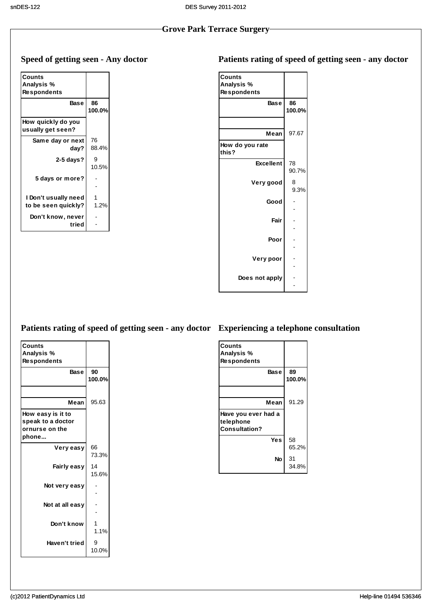# **Speed of getting seen - Any doctor**

| Counts<br>Analysis %<br><b>Respondents</b>  |              |
|---------------------------------------------|--------------|
| <b>Base</b>                                 | 86<br>100.0% |
| How quickly do you<br>usually get seen?     |              |
| Same day or next<br>day?                    | 76<br>88.4%  |
| $2-5$ days?                                 | 10.5%        |
| 5 days or more?                             |              |
| I Don't usually need<br>to be seen quickly? | 1.2%         |
| Don't know, never<br>tried                  |              |

| <b>Counts</b>            |        |  |
|--------------------------|--------|--|
| Analysis %               |        |  |
| <b>Respondents</b>       |        |  |
| <b>Base</b>              | 86     |  |
|                          | 100.0% |  |
|                          |        |  |
| Mean                     | 97.67  |  |
|                          |        |  |
| How do you rate<br>this? |        |  |
| <b>Excellent</b>         | 78     |  |
|                          | 90.7%  |  |
| Very good                | 8      |  |
|                          | 9.3%   |  |
| Good                     |        |  |
|                          |        |  |
| Fair                     |        |  |
|                          |        |  |
|                          |        |  |
| Poor                     |        |  |
|                          |        |  |
| Very poor                |        |  |
|                          |        |  |
| Does not apply           |        |  |
|                          |        |  |

#### **Patients rating of speed of getting seen - any doctor Experiencing a telephone consultation**

| Counts             |        |
|--------------------|--------|
| Analysis %         |        |
|                    |        |
| <b>Respondents</b> |        |
| <b>Base</b>        | 90     |
|                    | 100.0% |
|                    |        |
| Mean               | 95.63  |
| How easy is it to  |        |
| speak to a doctor  |        |
| ornurse on the     |        |
| phone…             |        |
| Very easy          | 66     |
|                    | 73.3%  |
|                    |        |
| Fairly easy        | 14     |
|                    | 15.6%  |
| Not very easy      |        |
|                    |        |
| Not at all easy    |        |
|                    |        |
|                    |        |
| Don't know         |        |
|                    | 1.1%   |
| Haven't tried      | 9      |
|                    | 10.0%  |
|                    |        |

| Counts<br>Analysis %<br><b>Respondents</b>               |              |
|----------------------------------------------------------|--------------|
| Base                                                     | 89<br>100.0% |
| Mean                                                     | 91.29        |
| Have you ever had a<br>telephone<br><b>Consultation?</b> |              |
| Yes                                                      | 58<br>65.2%  |
| No                                                       | 31<br>34.8%  |

# **Patients rating of speed of getting seen - any doctor**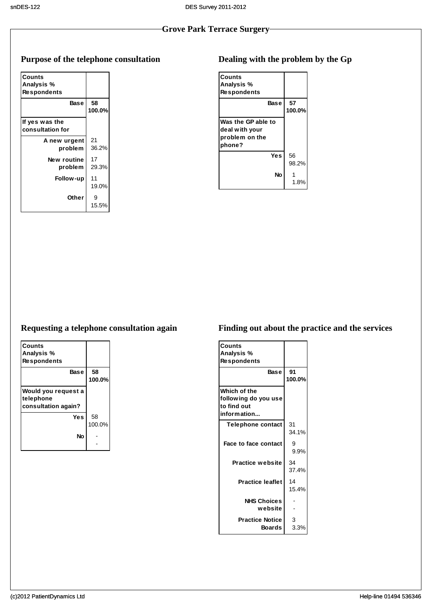# **Purpose of the telephone consultation**

| Counts<br>Analysis %               |              |
|------------------------------------|--------------|
| <b>Respondents</b>                 |              |
| Base                               | 58<br>100.0% |
| If yes was the<br>consultation for |              |
| A new urgent<br>problem            | 21<br>36.2%  |
| New routine<br>problem             | 17<br>29.3%  |
| Follow-up                          | 11<br>19.0%  |
| Other                              | 9<br>15.5%   |

# **Dealing with the problem by the Gp**

| Counts<br>Analysis %<br><b>Respondents</b>                       |              |
|------------------------------------------------------------------|--------------|
| <b>Base</b>                                                      | 57<br>100.0% |
| Was the GP able to<br>deal with your<br>problem on the<br>phone? |              |
| Yes                                                              | 56<br>98.2%  |
| No                                                               | 1.8%         |

# **Requesting a telephone consultation again**

| Counts              |        |
|---------------------|--------|
| Analysis %          |        |
| <b>Respondents</b>  |        |
| <b>Base</b>         | 58     |
|                     | 100.0% |
| Would you request a |        |
| telephone           |        |
| consultation again? |        |
| <b>Yes</b>          | 58     |
|                     | 100.0% |
| No                  |        |
|                     |        |

# **Finding out about the practice and the services**

| <b>Counts</b><br>Analysis %<br><b>Respondents</b>                  |              |
|--------------------------------------------------------------------|--------------|
| <b>Base</b>                                                        | 91<br>100.0% |
| Which of the<br>following do you use<br>to find out<br>information |              |
| <b>Telephone contact</b>                                           | 31<br>34.1%  |
| <b>Face to face contact</b>                                        | 9<br>9.9%    |
| <b>Practice website</b>                                            | 34<br>37.4%  |
| <b>Practice leaflet</b>                                            | 14<br>15.4%  |
| <b>NHS Choices</b><br>website                                      |              |
| <b>Practice Notice</b><br>Boards                                   | 3<br>3.3%    |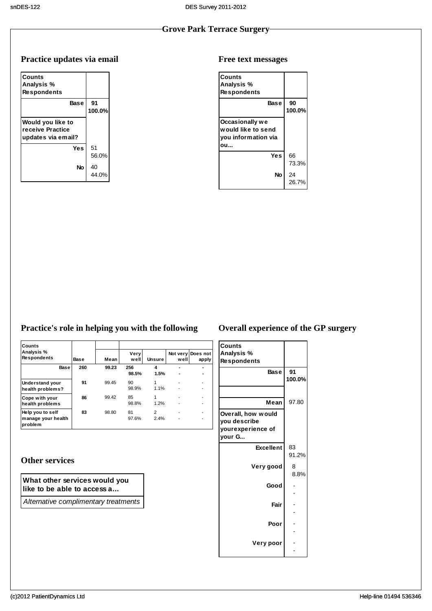# **Practice updates via email**

| Counts<br>Analysis %<br><b>Respondents</b>                  |              |
|-------------------------------------------------------------|--------------|
| Base                                                        | 91<br>100.0% |
| Would you like to<br>receive Practice<br>updates via email? |              |
| Yes                                                         | 51<br>56.0%  |
| No                                                          | 40<br>44 በ%  |

#### **Free text messages**

| <b>Counts</b><br>Analysis %<br><b>Respondents</b>                   |              |
|---------------------------------------------------------------------|--------------|
| <b>Base</b>                                                         | 90<br>100.0% |
| Occasionally we<br>would like to send<br>you information via<br>0IJ |              |
| Yes                                                                 | 66<br>73.3%  |
| No                                                                  | 24<br>26.7%  |

# **Practice's role in helping you with the following**

| Counts                                            |      |       |              |                        |                  |                   |
|---------------------------------------------------|------|-------|--------------|------------------------|------------------|-------------------|
| Analysis %<br><b>Respondents</b>                  | Base | Mean  | Very<br>well | Unsure                 | Not very<br>well | Does not<br>apply |
| Base                                              | 260  | 99.23 | 256<br>98.5% | 4<br>1.5%              | ٠                |                   |
| <b>Understand your</b><br>health problems?        | 91   | 99.45 | 90<br>98.9%  | 1.1%                   | ٠                | ۰                 |
| Cope with your<br>health problems                 | 86   | 99.42 | 85<br>98.8%  | 1<br>1.2%              |                  | ۰                 |
| Help you to self<br>manage your health<br>problem | 83   | 98.80 | 81<br>97.6%  | $\overline{2}$<br>2.4% |                  | ۰<br>۰            |

## **Other services**

#### **What other services would you like to be able to access a...**

*Alternative complimentary treatments*

# **Overall experience of the GP surgery**

| <b>Counts</b>                      |              |
|------------------------------------|--------------|
| Analysis %                         |              |
| <b>Respondents</b>                 |              |
| Base                               | 91<br>100.0% |
|                                    |              |
| Mean                               | 97.80        |
| Overall, how would<br>you describe |              |
| yourexperience of<br>vour G        |              |
| <b>Excellent</b>                   | 83<br>91.2%  |
| Very good                          | 8<br>8.8%    |
| Good                               |              |
|                                    |              |
| Fair                               |              |
|                                    |              |
| Poor                               |              |
|                                    |              |
| Very poor                          |              |
|                                    |              |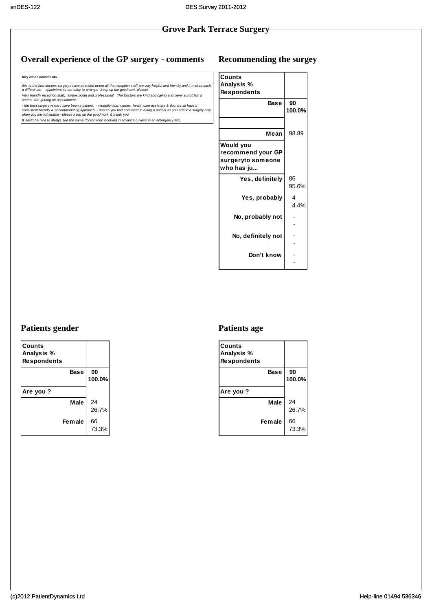#### **Overall experience of the GP surgery - comments**

**Any other comments**

*this is the first doctors surgery I have attended where all the reception staff are very helpful and friendly and it makes such a difference. appointments are easy to arrange. keep up the good work please! Very friendly reception staff, always polite and professional. The Doctors are kind and caring and never a problem it seems with getting an appointment.* - the best surgery where I have been a patient. - receptionists, nurses, health care assistant & doctors all have a<br>consistent friendly & accommodating approach. - makes you feel comfortable being a patient as you attend *It sould be nice to always see the same doctor when booking in advance (unless in an emergency etc)*

#### **Recommending the surgey**

| Counts             |        |
|--------------------|--------|
| Analysis %         |        |
| <b>Respondents</b> |        |
| <b>Base</b>        | 90     |
|                    | 100.0% |
|                    |        |
| Mean               | 98.89  |
| Would you          |        |
| recommend your GP  |        |
| surgeryto someone  |        |
| who has ju         |        |
| Yes, definitely    | 86     |
|                    | 95.6%  |
| Yes, probably      | 4      |
|                    | 4.4%   |
| No, probably not   |        |
|                    |        |
| No, definitely not |        |
|                    |        |
| Don't know         |        |
|                    |        |
|                    |        |

#### **Patients gender**

| Counts<br>Analysis %<br><b>Respondents</b> |              |
|--------------------------------------------|--------------|
| Base                                       | 90<br>100.0% |
| Are you ?                                  |              |
| Male                                       | 24<br>26.7%  |
| <b>Female</b>                              | 66<br>73.3%  |

#### **Patients age**

| Counts<br>Analysis %<br><b>Respondents</b> |              |
|--------------------------------------------|--------------|
| Base                                       | 90<br>100.0% |
| Are you ?                                  |              |
| Male                                       | 24<br>26.7%  |
| Female                                     | 66<br>73.3%  |